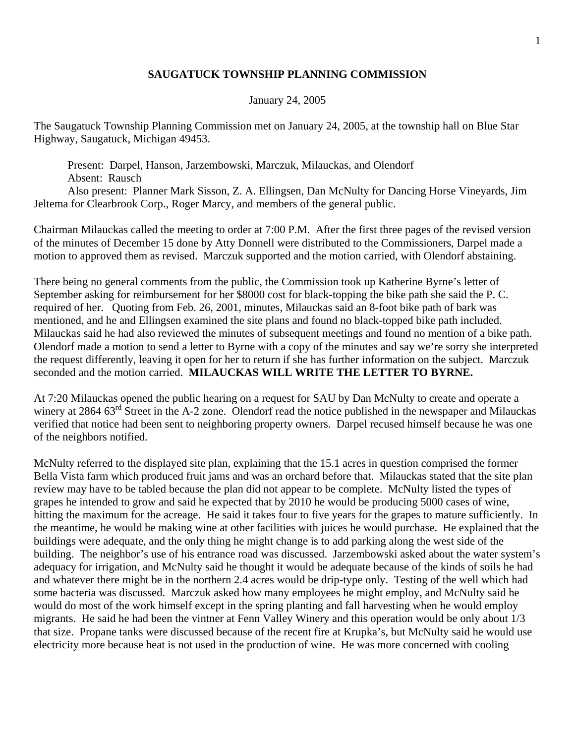## **SAUGATUCK TOWNSHIP PLANNING COMMISSION**

## January 24, 2005

The Saugatuck Township Planning Commission met on January 24, 2005, at the township hall on Blue Star Highway, Saugatuck, Michigan 49453.

 Present: Darpel, Hanson, Jarzembowski, Marczuk, Milauckas, and Olendorf Absent: Rausch Also present: Planner Mark Sisson, Z. A. Ellingsen, Dan McNulty for Dancing Horse Vineyards, Jim Jeltema for Clearbrook Corp., Roger Marcy, and members of the general public.

Chairman Milauckas called the meeting to order at 7:00 P.M. After the first three pages of the revised version of the minutes of December 15 done by Atty Donnell were distributed to the Commissioners, Darpel made a motion to approved them as revised. Marczuk supported and the motion carried, with Olendorf abstaining.

There being no general comments from the public, the Commission took up Katherine Byrne's letter of September asking for reimbursement for her \$8000 cost for black-topping the bike path she said the P. C. required of her. Quoting from Feb. 26, 2001, minutes, Milauckas said an 8-foot bike path of bark was mentioned, and he and Ellingsen examined the site plans and found no black-topped bike path included. Milauckas said he had also reviewed the minutes of subsequent meetings and found no mention of a bike path. Olendorf made a motion to send a letter to Byrne with a copy of the minutes and say we're sorry she interpreted the request differently, leaving it open for her to return if she has further information on the subject. Marczuk seconded and the motion carried. **MILAUCKAS WILL WRITE THE LETTER TO BYRNE.**

At 7:20 Milauckas opened the public hearing on a request for SAU by Dan McNulty to create and operate a winery at 2864 63<sup>rd</sup> Street in the A-2 zone. Olendorf read the notice published in the newspaper and Milauckas verified that notice had been sent to neighboring property owners. Darpel recused himself because he was one of the neighbors notified.

McNulty referred to the displayed site plan, explaining that the 15.1 acres in question comprised the former Bella Vista farm which produced fruit jams and was an orchard before that. Milauckas stated that the site plan review may have to be tabled because the plan did not appear to be complete. McNulty listed the types of grapes he intended to grow and said he expected that by 2010 he would be producing 5000 cases of wine, hitting the maximum for the acreage. He said it takes four to five years for the grapes to mature sufficiently. In the meantime, he would be making wine at other facilities with juices he would purchase. He explained that the buildings were adequate, and the only thing he might change is to add parking along the west side of the building. The neighbor's use of his entrance road was discussed. Jarzembowski asked about the water system's adequacy for irrigation, and McNulty said he thought it would be adequate because of the kinds of soils he had and whatever there might be in the northern 2.4 acres would be drip-type only. Testing of the well which had some bacteria was discussed. Marczuk asked how many employees he might employ, and McNulty said he would do most of the work himself except in the spring planting and fall harvesting when he would employ migrants. He said he had been the vintner at Fenn Valley Winery and this operation would be only about 1/3 that size. Propane tanks were discussed because of the recent fire at Krupka's, but McNulty said he would use electricity more because heat is not used in the production of wine. He was more concerned with cooling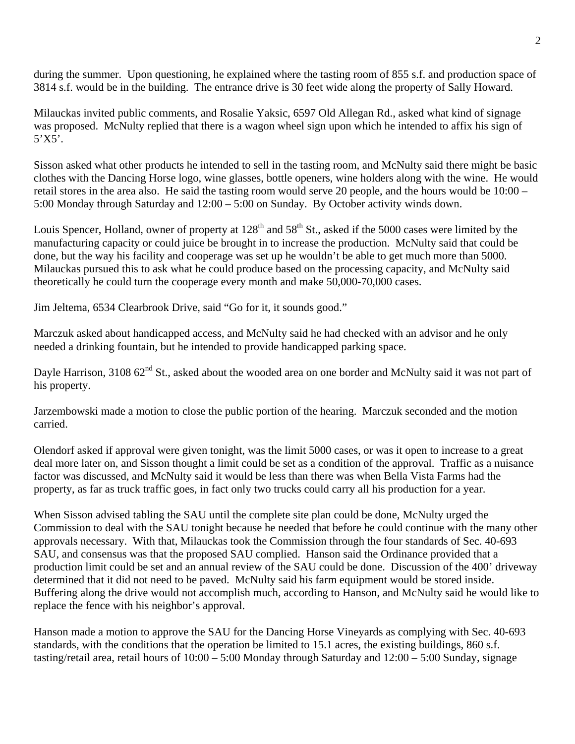during the summer. Upon questioning, he explained where the tasting room of 855 s.f. and production space of 3814 s.f. would be in the building. The entrance drive is 30 feet wide along the property of Sally Howard.

Milauckas invited public comments, and Rosalie Yaksic, 6597 Old Allegan Rd., asked what kind of signage was proposed. McNulty replied that there is a wagon wheel sign upon which he intended to affix his sign of  $5'X5'.$ 

Sisson asked what other products he intended to sell in the tasting room, and McNulty said there might be basic clothes with the Dancing Horse logo, wine glasses, bottle openers, wine holders along with the wine. He would retail stores in the area also. He said the tasting room would serve 20 people, and the hours would be 10:00 – 5:00 Monday through Saturday and 12:00 – 5:00 on Sunday. By October activity winds down.

Louis Spencer, Holland, owner of property at  $128<sup>th</sup>$  and  $58<sup>th</sup>$  St., asked if the 5000 cases were limited by the manufacturing capacity or could juice be brought in to increase the production. McNulty said that could be done, but the way his facility and cooperage was set up he wouldn't be able to get much more than 5000. Milauckas pursued this to ask what he could produce based on the processing capacity, and McNulty said theoretically he could turn the cooperage every month and make 50,000-70,000 cases.

Jim Jeltema, 6534 Clearbrook Drive, said "Go for it, it sounds good."

Marczuk asked about handicapped access, and McNulty said he had checked with an advisor and he only needed a drinking fountain, but he intended to provide handicapped parking space.

Dayle Harrison, 3108 62<sup>nd</sup> St., asked about the wooded area on one border and McNulty said it was not part of his property.

Jarzembowski made a motion to close the public portion of the hearing. Marczuk seconded and the motion carried.

Olendorf asked if approval were given tonight, was the limit 5000 cases, or was it open to increase to a great deal more later on, and Sisson thought a limit could be set as a condition of the approval. Traffic as a nuisance factor was discussed, and McNulty said it would be less than there was when Bella Vista Farms had the property, as far as truck traffic goes, in fact only two trucks could carry all his production for a year.

When Sisson advised tabling the SAU until the complete site plan could be done, McNulty urged the Commission to deal with the SAU tonight because he needed that before he could continue with the many other approvals necessary. With that, Milauckas took the Commission through the four standards of Sec. 40-693 SAU, and consensus was that the proposed SAU complied. Hanson said the Ordinance provided that a production limit could be set and an annual review of the SAU could be done. Discussion of the 400' driveway determined that it did not need to be paved. McNulty said his farm equipment would be stored inside. Buffering along the drive would not accomplish much, according to Hanson, and McNulty said he would like to replace the fence with his neighbor's approval.

Hanson made a motion to approve the SAU for the Dancing Horse Vineyards as complying with Sec. 40-693 standards, with the conditions that the operation be limited to 15.1 acres, the existing buildings, 860 s.f. tasting/retail area, retail hours of 10:00 – 5:00 Monday through Saturday and 12:00 – 5:00 Sunday, signage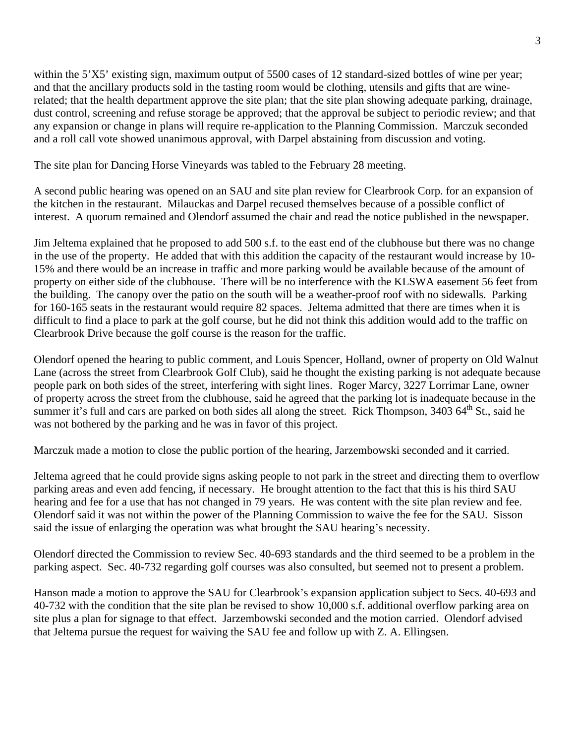within the 5'X5' existing sign, maximum output of 5500 cases of 12 standard-sized bottles of wine per year; and that the ancillary products sold in the tasting room would be clothing, utensils and gifts that are winerelated; that the health department approve the site plan; that the site plan showing adequate parking, drainage, dust control, screening and refuse storage be approved; that the approval be subject to periodic review; and that any expansion or change in plans will require re-application to the Planning Commission. Marczuk seconded and a roll call vote showed unanimous approval, with Darpel abstaining from discussion and voting.

The site plan for Dancing Horse Vineyards was tabled to the February 28 meeting.

A second public hearing was opened on an SAU and site plan review for Clearbrook Corp. for an expansion of the kitchen in the restaurant. Milauckas and Darpel recused themselves because of a possible conflict of interest. A quorum remained and Olendorf assumed the chair and read the notice published in the newspaper.

Jim Jeltema explained that he proposed to add 500 s.f. to the east end of the clubhouse but there was no change in the use of the property. He added that with this addition the capacity of the restaurant would increase by 10- 15% and there would be an increase in traffic and more parking would be available because of the amount of property on either side of the clubhouse. There will be no interference with the KLSWA easement 56 feet from the building. The canopy over the patio on the south will be a weather-proof roof with no sidewalls. Parking for 160-165 seats in the restaurant would require 82 spaces. Jeltema admitted that there are times when it is difficult to find a place to park at the golf course, but he did not think this addition would add to the traffic on Clearbrook Drive because the golf course is the reason for the traffic.

Olendorf opened the hearing to public comment, and Louis Spencer, Holland, owner of property on Old Walnut Lane (across the street from Clearbrook Golf Club), said he thought the existing parking is not adequate because people park on both sides of the street, interfering with sight lines. Roger Marcy, 3227 Lorrimar Lane, owner of property across the street from the clubhouse, said he agreed that the parking lot is inadequate because in the summer it's full and cars are parked on both sides all along the street. Rick Thompson,  $3403\,64^{\text{th}}$  St., said he was not bothered by the parking and he was in favor of this project.

Marczuk made a motion to close the public portion of the hearing, Jarzembowski seconded and it carried.

Jeltema agreed that he could provide signs asking people to not park in the street and directing them to overflow parking areas and even add fencing, if necessary. He brought attention to the fact that this is his third SAU hearing and fee for a use that has not changed in 79 years. He was content with the site plan review and fee. Olendorf said it was not within the power of the Planning Commission to waive the fee for the SAU. Sisson said the issue of enlarging the operation was what brought the SAU hearing's necessity.

Olendorf directed the Commission to review Sec. 40-693 standards and the third seemed to be a problem in the parking aspect. Sec. 40-732 regarding golf courses was also consulted, but seemed not to present a problem.

Hanson made a motion to approve the SAU for Clearbrook's expansion application subject to Secs. 40-693 and 40-732 with the condition that the site plan be revised to show 10,000 s.f. additional overflow parking area on site plus a plan for signage to that effect. Jarzembowski seconded and the motion carried. Olendorf advised that Jeltema pursue the request for waiving the SAU fee and follow up with Z. A. Ellingsen.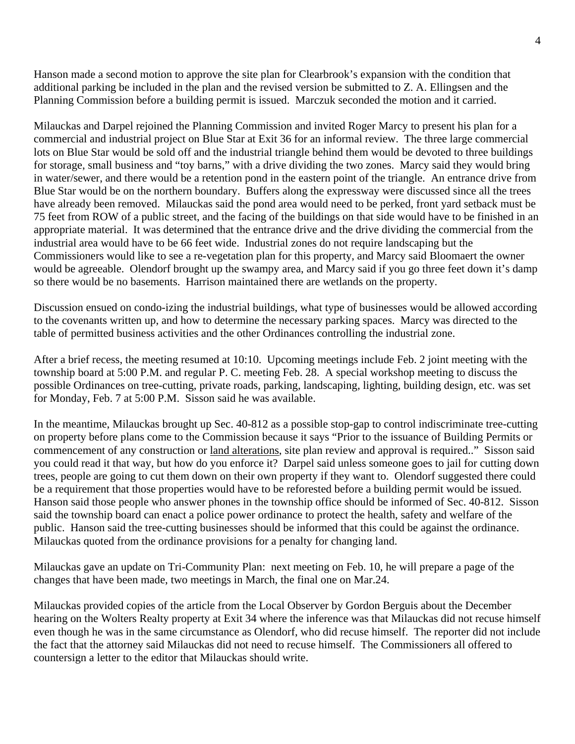Hanson made a second motion to approve the site plan for Clearbrook's expansion with the condition that additional parking be included in the plan and the revised version be submitted to Z. A. Ellingsen and the Planning Commission before a building permit is issued. Marczuk seconded the motion and it carried.

Milauckas and Darpel rejoined the Planning Commission and invited Roger Marcy to present his plan for a commercial and industrial project on Blue Star at Exit 36 for an informal review. The three large commercial lots on Blue Star would be sold off and the industrial triangle behind them would be devoted to three buildings for storage, small business and "toy barns," with a drive dividing the two zones. Marcy said they would bring in water/sewer, and there would be a retention pond in the eastern point of the triangle. An entrance drive from Blue Star would be on the northern boundary. Buffers along the expressway were discussed since all the trees have already been removed. Milauckas said the pond area would need to be perked, front yard setback must be 75 feet from ROW of a public street, and the facing of the buildings on that side would have to be finished in an appropriate material. It was determined that the entrance drive and the drive dividing the commercial from the industrial area would have to be 66 feet wide. Industrial zones do not require landscaping but the Commissioners would like to see a re-vegetation plan for this property, and Marcy said Bloomaert the owner would be agreeable. Olendorf brought up the swampy area, and Marcy said if you go three feet down it's damp so there would be no basements. Harrison maintained there are wetlands on the property.

Discussion ensued on condo-izing the industrial buildings, what type of businesses would be allowed according to the covenants written up, and how to determine the necessary parking spaces. Marcy was directed to the table of permitted business activities and the other Ordinances controlling the industrial zone.

After a brief recess, the meeting resumed at 10:10. Upcoming meetings include Feb. 2 joint meeting with the township board at 5:00 P.M. and regular P. C. meeting Feb. 28. A special workshop meeting to discuss the possible Ordinances on tree-cutting, private roads, parking, landscaping, lighting, building design, etc. was set for Monday, Feb. 7 at 5:00 P.M. Sisson said he was available.

In the meantime, Milauckas brought up Sec. 40-812 as a possible stop-gap to control indiscriminate tree-cutting on property before plans come to the Commission because it says "Prior to the issuance of Building Permits or commencement of any construction or land alterations, site plan review and approval is required.." Sisson said you could read it that way, but how do you enforce it? Darpel said unless someone goes to jail for cutting down trees, people are going to cut them down on their own property if they want to. Olendorf suggested there could be a requirement that those properties would have to be reforested before a building permit would be issued. Hanson said those people who answer phones in the township office should be informed of Sec. 40-812. Sisson said the township board can enact a police power ordinance to protect the health, safety and welfare of the public. Hanson said the tree-cutting businesses should be informed that this could be against the ordinance. Milauckas quoted from the ordinance provisions for a penalty for changing land.

Milauckas gave an update on Tri-Community Plan: next meeting on Feb. 10, he will prepare a page of the changes that have been made, two meetings in March, the final one on Mar.24.

Milauckas provided copies of the article from the Local Observer by Gordon Berguis about the December hearing on the Wolters Realty property at Exit 34 where the inference was that Milauckas did not recuse himself even though he was in the same circumstance as Olendorf, who did recuse himself. The reporter did not include the fact that the attorney said Milauckas did not need to recuse himself. The Commissioners all offered to countersign a letter to the editor that Milauckas should write.